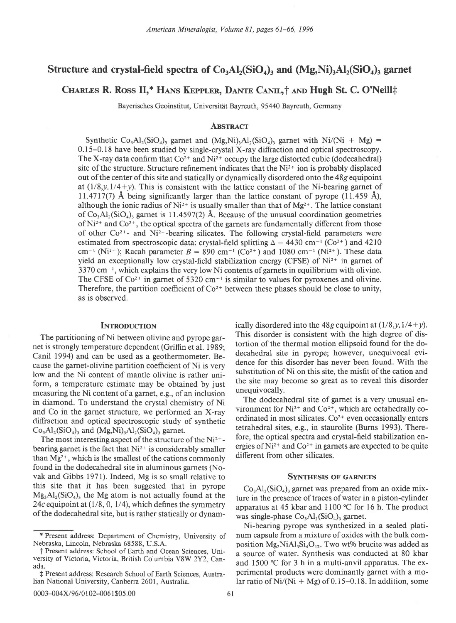# Structure and crystal-field spectra of  $Co_3Al_2(SiO_4)$  and  $(Mg,Ni)$ <sub>3</sub>Al<sub>2</sub>(SiO<sub>4</sub>)<sub>3</sub> garnet

# CHARLES R. ROSS II,\* HANS KEPPLER, DANTE CANIL,† AND Hugh St. C. O'Neill‡

Bayerisches Geoinstitut, Universität Bayreuth, 95440 Bayreuth, Germany

## **ABSTRACT**

Synthetic  $Co_3Al_2(SiO_4)$  garnet and  $(Mg,Ni)_3Al_2(SiO_4)$  garnet with Ni/(Ni + Mg) = 0.15-0. 18 have been studied by single-crystal X-ray diffraction and optical spectroscopy. The X-ray data confirm that  $Co^{2+}$  and  $Ni^{2+}$  occupy the large distorted cubic (dodecahedral) site of the structure. Structure refinement indicates that the  $Ni<sup>2+</sup>$  ion is probably displaced out of the center of this site and statically or dynamically disordered onto the 48g equipoint at  $(1/8, y, 1/4+y)$ . This is consistent with the lattice constant of the Ni-bearing garnet of 11.4717(7) Å being significantly larger than the lattice constant of pyrope (11.459 Å), although the ionic radius of Ni<sup>2+</sup> is usually smaller than that of Mg<sup>2+</sup>. The lattice constant of  $Co<sub>3</sub>Al<sub>2</sub>(SiO<sub>4</sub>)$ , garnet is 11.4597(2) Å. Because of the unusual coordination geometries of  $Ni^{2+}$  and  $Co^{2+}$ , the optical spectra of the garnets are fundamentally different from those of other  $Co^{2+}$ - and Ni<sup>2+</sup>-bearing silicates. The following crystal-field parameters were estimated from spectroscopic data: crystal-field splitting  $\Delta = 4430$  cm<sup>-1</sup> (Co<sup>2+</sup>) and 4210 cm<sup>-t</sup> (Ni<sup>2+</sup>); Racah parameter  $B = 890$  cm<sup>-1</sup> (Co<sup>2+</sup>) and 1080 cm<sup>-1</sup> (Ni<sup>2+</sup>). These data yield an exceptionally low crystal-field stabilization energy (CFSE) of  $Ni<sup>2+</sup>$  in garnet of  $3370 \text{ cm}^{-1}$ , which explains the very low Ni contents of garnets in equilibrium with olivine. The CFSE of  $Co^{2+}$  in garnet of 5320 cm<sup>-1</sup> is similar to values for pyroxenes and olivine. Therefore, the partition coefficient of  $Co^{2+}$  between these phases should be close to unity, as is observed.

#### **INTRODUCTION**

The partitioning of Ni between olivine and pyrope garnet is strongly temperature dependent (Griffin et al. 1989; Canil 1994) and can be used as a geothermometer. Because the garnet-olivine partition coefficient of Ni is very low and the Ni content of mantle olivine is rather uniform, a temperature estimate may be obtained by just measuring the Ni content of a garnet, e.g., of an inclusion in diamond. To understand the crystal chemistry of Ni and Co in the garnet structure, we performed an X-ray diffraction and optical spectroscopic study of synthetic  $Co<sub>3</sub>Al<sub>2</sub>(SiO<sub>4</sub>)<sub>3</sub>$  and  $(Mg,Ni)<sub>3</sub>Al<sub>2</sub>(SiO<sub>4</sub>)<sub>3</sub>$  garnet.

The most interesting aspect of the structure of the  $Ni<sup>2+</sup>$ bearing garnet is the fact that  $Ni^{2+}$  is considerably smaller than  $Mg^{2+}$ , which is the smallest of the cations commonly found in the dodecahedral site in aluminous garnets (Novak and Gibbs 1971). Indeed, Mg is so small relative to this site that it has been suggested that in pyrope  $Mg_3Al_2(SiO_4)$ , the Mg atom is not actually found at the 24c equipoint at  $(1/8, 0, 1/4)$ , which defines the symmetry of the dodecahedral site, but is rather statically or dynamically disordered into the 48g equipoint at  $(1/8, y, 1/4+y)$ . This disorder is consistent with the high degree of distortion of the thermal motion ellipsoid found for the dodecahedral site in pyrope; however, unequivocal evidence for this disorder has never been found. With the substitution of Ni on this site, the misfit of the cation and the site may become so great as to reveal this disorder unequivocally.

The dodecahedral site of garnet is a very unusual environment for  $Ni^{2+}$  and  $Co^{2+}$ , which are octahedrally coordinated in most silicates.  $Co<sup>2+</sup>$  even occasionally enters tetrahedral sites, e.g., in staurolite (Burns 1993). Therefore, the optical spectra and crystal-field stabilization energies of  $Ni^{2+}$  and  $Co^{2+}$  in garnets are expected to be quite different from other silicates.

#### SYNTHESIS OF GARNETS

 $Co<sub>3</sub>Al<sub>2</sub>(SiO<sub>4</sub>)<sub>3</sub>$  garnet was prepared from an oxide mixture in the presence of traces of water in a piston-cylinder apparatus at 45 kbar and 1100  $\degree$ C for 16 h. The product was single-phase  $Co<sub>3</sub>Al<sub>2</sub>(SiO<sub>4</sub>)<sub>3</sub>$  garnet.

Ni-bearing pyrope was synthesized in a sealed platinum capsule from a mixture of oxides with the bulk composition  $Mg_2NiAl_3Si_4O_{12}$ . Two wt% brucite was added as a source of water. Synthesis was conducted at 80 kbar and 1500  $\degree$ C for 3 h in a multi-anvil apparatus. The experimental products were dominantly garnet with a molar ratio of  $Ni/(Ni + Mg)$  of 0.15–0.18. In addition, some

t Present address: Department of Chemistry, University of Nebraska, Lincoln, Nebraska 68588, U.S.A.

f Present address: School of Earth and Ocean Sciences, University of Victoria, Victoria, British Columbia VSW 2Y2, Canada.

 $#$  Present address: Research School of Earth Sciences, Australian National University, Canberra 2601, Australia.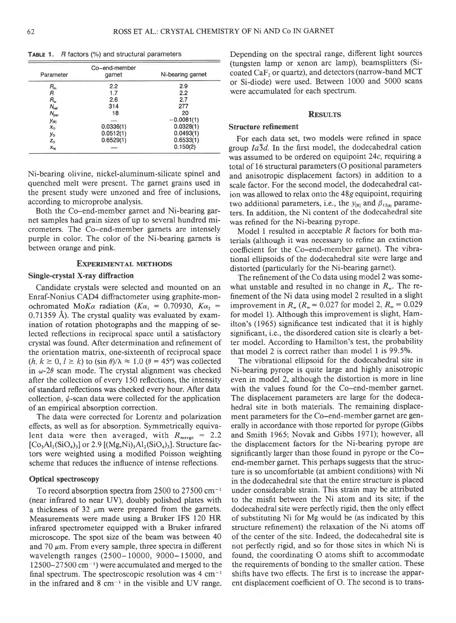| Parameter        | Co-end-member<br>garnet | Ni-bearing garnet |  |
|------------------|-------------------------|-------------------|--|
| R,,              | $2.2\,$                 | 2.9               |  |
| R                | 1.7                     | 2.2               |  |
| R.,              | 2.6                     | 2.7               |  |
| $N_{\rm rot}$    | 314                     | 277               |  |
| $N_{\rm par}$    | 18                      | 20                |  |
| $y_{\text{[0]}}$ |                         | $-0.0081(1)$      |  |
| $x_{\rm o}$      | 0.0336(1)               | 0.0328(1)         |  |
| Уо               | 0.0512(1)               | 0.0493(1)         |  |
| $z_{\rm o}$      | 0.6529(1)               | 0.6533(1)         |  |
| $X_{\rm NI}$     |                         | 0.150(2)          |  |

TABLE 1. B factors (%) and structural parameters

Ni-bearing olivine, nickel-aluminum-silicate spinel and quenched melt were present. The garnet grains used in the present study were unzoned and free of inclusions, according to microprobe analysis.

Both the Co-end-member garnet and Ni-bearing garnet samples had grain sizes of up to several hundred micrometers. The Co-end-member garnets are intensely purple in color. The color of the Ni-bearing garnets is between orange and pink.

## EXPERIMENTAL METHODS

## Single-crystal X-ray diffraction

Candidate crystals were selected and mounted on an Enraf-Nonius CAD4 diffractometer using graphite-monochromated MoK $\alpha$  radiation (K $\alpha_1$  = 0.70930, K $\alpha_2$  =  $0.71359$  Å). The crystal quality was evaluated by examination of rotation photographs and the mapping of selected reflections in reciprocal space until a satisfactory crystal was found. After determination and refinement of the orientation matrix, one-sixteenth of reciprocal space  $(h, k \ge 0, l \ge k)$  to  $(\sin \theta)/\lambda \approx 1.0$   $(\theta = 45^{\circ})$  was collected in  $\omega$ -2 $\theta$  scan mode. The crystal alignment was checked after the collection of every 150 reflections, the intensity of standard reflections was checked every hour. After data collection,  $\psi$ -scan data were collected for the application of an empirical absorption correction.

The data were corrected for Lorentz and polarization effects, as well as for absorption. Symmetrically equivalent data were then averaged, with  $R_{\text{merge}} = 2.2$  $[Co<sub>3</sub>Al<sub>2</sub>(SiO<sub>4</sub>)<sub>3</sub>]$  or 2.9  $[(Mg,Ni)<sub>3</sub>Al<sub>2</sub>(SiO<sub>4</sub>)<sub>3</sub>]$ . Structure factors were weighted using a modified Poisson weighting scheme that reduces the influence of intense reflections.

## Optical spectroscopy

To record absorption spectra from 2500 to 27500 cm-1 (near infrared to near UV), doubly polished plates with a thickness of 32  $\mu$ m were prepared from the garnets. Measurements were made using a Bruker IFS 120 HR infrared spectrometer equipped with a Bruker infrared microscope. The spot size of the beam was between 40 and 70  $\mu$ m. From every sample, three spectra in different wavelength ranges (2500-10000, 9000-15000, and  $12500-27500$  cm<sup>-1</sup>) were accumulated and merged to the final spectrum. The spectroscopic resolution was  $4 \text{ cm}^{-1}$ in the infrared and  $8 \text{ cm}^{-1}$  in the visible and UV range.

Depending on the spectral range, different light sources (tungsten lamp or xenon arc lamp), beamsplitters (Sicoated CaF<sub>2</sub> or quartz), and detectors (narrow-band MCT or Si-diode) were used. Between 1000 and 5000 scans were accumulated for each spectrum.

## **RESULTS**

#### Structure refinement

For each data set, two models were refined in space group  $Ia\overline{3}d$ . In the first model, the dodecahedral cation was assumed to be ordered on equipoint  $24c$ , requiring a total of 16 structural parameters (O positional parameters and anisotropic displacement factors) in addition to a scale factor. For the second model, the dodecahedral cation was allowed to relax onto the 48g equipoint, requiring two additional parameters, i.e., the  $y_{\text{[8]}}$  and  $\beta_{12\text{[8]}}$  parameters. In addition, the Ni content of the dodecahedral site was refined for the Ni-bearing pyrope.

Model 1 resulted in acceptable  $R$  factors for both materials (although it was necessary to refine an extinction coefficient for the Co-end-member garnet). The vibrational ellipsoids of the dodecahedral site were large and distorted (particularly for the Ni-bearing garnet).

The refinement of the Co data using model 2 was somewhat unstable and resulted in no change in  $R_{\rm w}$ . The refinement of the Ni data using model 2 resulted in a slight improvement in  $R_{w}$  ( $R_{w}$  = 0.027 for model 2,  $R_{w}$  = 0.029 for model l). Although this improvement is slight, Hamilton's (1965) significance test indicated that it is highly significant, i.e., the disordered cation site is clearly a better model. According to Hamilton's test, the probability that model 2 is correct rather than model 1 is 99.5%.

The vibrational ellipsoid for the dodecahedral site in Ni-bearing pyrope is quite large and highly anisotropic even in model 2, although the distortion is more in line with the values found for the Co-end-member garnet. The displacement parameters are large for the dodecahedral site in both materials. The remaining displacement parameters for the Co-end-member garnet are generally in accordance with those reported for pyrope (Gibbs and Smith 1965; Novak and Gibbs l97l); however, all the displacement factors for the Ni-bearing pyrope are significantly larger than those found in pyrope or the Coend-member garnet. This perhaps suggests that the structure is so uncomfortable (at ambient conditions) with Ni in the dodecahedral site that the entire structure is placed under considerable strain. This strain may be attributed to the misfit between the Ni atom and its site; if the dodecahedral site were perfectly rigid, then the only effect of substituting Ni for Mg would be (as indicated by this structure refinement) the relaxation of the Ni atoms off of the center of the site. Indeed, the dodecahedral site is not perfectly rigid, and so for those sites in which Ni is found, the coordinating O atoms shift to accommodate the requirements of bonding to the smaller cation. These shifts have two effects. The first is to increase the apparent displacement coefficient of O. The second is to trans-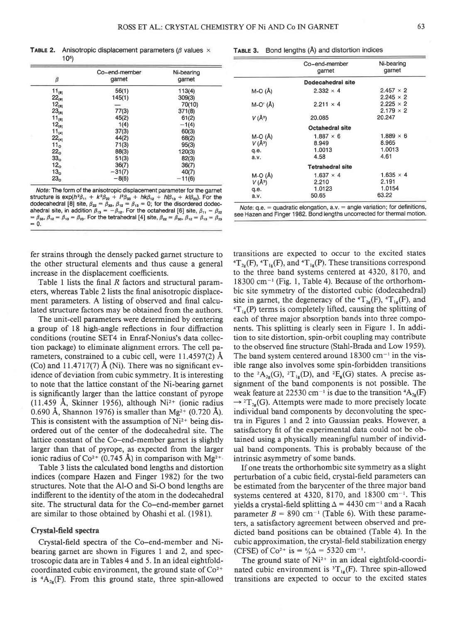M-o (A)  $V(\AA^3)$ q.e. a.v.

**TABLE 2.** Anisotropic displacement parameters ( $\beta$  values  $\times$  $10<sup>5</sup>$ 

|                 | Co-end-member | Ni-bearing |
|-----------------|---------------|------------|
| β               | garnet        | garnet     |
| $11_{[0]}$      | 56(1)         | 113(4)     |
| $22_{[B]}$      | 145(1)        | 309(3)     |
| $12_{101}$      |               | 70(10)     |
| $23_{[8]}$      | 77(3)         | 371(8)     |
| $11_{[6]}$      | 45(2)         | 61(2)      |
| $12_{[6]}$      | 1(4)          | $-1(4)$    |
| $11_{[4]}$      | 37(3)         | 60(3)      |
| $22_{[4]}$      | 44(2)         | 68(2)      |
| 11 <sub>o</sub> | 71(3)         | 95(3)      |
| 22 <sub>o</sub> | 88(3)         | 120(3)     |
| 33 <sub>0</sub> | 51(3)         | 82(3)      |
| 12 <sub>o</sub> | 36(7)         | 36(7)      |
| 13 <sub>o</sub> | $-31(7)$      | 40(7)      |
| 23 <sub>o</sub> | $-8(6)$       | $-11(6)$   |

Note; The torm ot the anisotropic displacement parameter for the garnet structure is  $exp(h^2\beta_{11} + k^2\beta_{22} + l^2\beta_{33} + hk\beta_{12} + hl\beta_{13} + kl\beta_{23})$ . For the dodecahedral [8] site,  $\beta_{22} = \beta_{33}$ ,  $\beta_{12} = \beta_{13} = 0$ ; for the disordered dodecahedral site, in addition  $\beta_{13} = -\beta_{12}$ . For the octahe  $=\beta_{33}, \beta_{12}=\beta_{13}=\beta_{23}$ . For the tetrahedral [4] site,  $\beta_{22}=\beta_{33}, \beta_{12}=\beta_{13}=\beta_{23}$  $= 0.$ 

fer strains through the densely packed garnet structure to the other structural elements and thus cause a general increase in the displacement coefficients.

Table 1 lists the final R factors and structural parameters, whereas Table 2 lists the final anisotropic displacement parameters. A listing of observed and final calculated structure factors may be obtained from the authors.

The unit-cell parameters were determined by centering a group of 18 high-angle reflections in four diffraction conditions (routine SET4 in Enraf-Nonius's data collection package) to eliminate alignment errors. The cell parameters, constrained to a cubic cell, were  $11.4597(2)$  Å (Co) and 11.4717(7)  $\AA$  (Ni). There was no significant evidence of deviation from cubic symmetry. It is interesting 10 note that the lattice constant of the Ni-bearing garnet is significantly larger than the lattice constant of pyrope (11.459 Å, Skinner 1956), although  $Ni<sup>2+</sup>$  (ionic radius 0.690 Å, Shannon 1976) is smaller than Mg<sup>2+</sup> (0.720 Å). This is consistent with the assumption of  $Ni<sup>2+</sup>$  being disordered out of the center of the dodecahedral site. The lattice constant of the Co-end-member garnet is slightly larger than that of pyrope, as expected from the larger ionic radius of Co<sup>2+</sup> (0.745 Å) in comparison with Mg<sup>2+</sup>

Table 3 lists the calculated bond lengths and distortion indices (compare Hazen and Finger 1982) for the two structures. Note that the Al-O and Si-O bond lengths are indifferent to the identity of the atom in the dodecahedral site. The structural data for the Co-end-member garnet are similar to those obtained bv Ohashi et al. (1981).

## Crystal-field spectra

Crystal-field spectra of the Co-end-member and Nibearing garnet are shown in Figures I and 2, and spectroscopic data are in Tables 4 and 5. In an ideal eightfoldcoordinated cubic environment, the ground state of  $Co<sup>2+</sup>$ is  ${}^4A_{28}(F)$ . From this ground state, three spin-allowed

|             | Dodecahedral site      |                  |
|-------------|------------------------|------------------|
| $M-O(\AA)$  | $2.332 \times 4$       | $2.457 \times 2$ |
|             |                        | $2.245 \times 2$ |
| $M-O'(\AA)$ | $2.211 \times 4$       | $2.225 \times 2$ |
|             |                        | $2.179 \times 2$ |
| $V(\AA^3)$  | 20.085                 | 20.247           |
|             | <b>Octahedral site</b> |                  |
| $M-Q(\AA)$  | $1.887 \times 6$       | $1.889 \times 6$ |
| $V(\AA^3)$  | 8.949                  | 8.965            |
| q.e.        | 1.0013                 | 1.0013           |
| a.v.        | 4.58                   | 4.61             |
|             |                        |                  |

garnet

Co-end-member Ni-bearing<br>
oarnet oarnet

Note:  $q.e. =$  quadratic elongation,  $a.v. =$  angle variation; for definitions, see Hazen and Finger 1982. Bond lengths uncorrected for thermal motion.

Tetrahedral site  $1.637 \times 4$ 2.210 1 .0123 50.65

transitions are expected to occur to the excited states  ${}^{4}T_{2g}(F)$ ,  ${}^{4}T_{1g}(F)$ , and  ${}^{4}T_{1g}(P)$ . These transitions correspond to the three band systems centered at 4320, 8170, and  $18300 \text{ cm}^{-1}$  (Fig. 1, Table 4). Because of the orthorhombic site symmetry of the distorted cubic (dodecahedral) site in garnet, the degeneracy of the  ${}^{4}T_{2g}(F)$ ,  ${}^{4}T_{1g}(F)$ , and  $T_{1s}(P)$  terms is completely lifted, causing the splitting of each of three major absorption bands into three components. This splitting is clearly seen in Figure l. In addition to site distortion, spin-orbit coupling may contribute to the observed fine structure (Stahl-Brada and Low 1959). The band system centered around  $18300 \text{ cm}^{-1}$  in the visible range also involves some spin-forbidden transitions to the  ${}^2A_{2e}(G)$ ,  ${}^2T_{1e}(D)$ , and  ${}^2E_{e}(G)$  states. A precise assignment of the band components is not possible. The weak feature at 22530 cm<sup>-1</sup> is due to the transition  ${}^4A_{2g}(F)$  $\rightarrow$  <sup>2</sup>T<sub>2g</sub>(G). Attempts were made to more precisely locate individual band components by deconvoluting the spectra in Figures 1 and 2 into Gaussian peaks. However, a satisfactory fit of the experimental data could not be obtained using a physically meaningful number of individual band components. This is probably because of the intrinsic asymmetry of some bands.

If one treats the orthorhombic site symmetry as a slight perturbation of a cubic field, crystal-field parameters can be estimated from the barycenter of the three major band systems centered at 4320, 8170, and 18300 cm<sup>-1</sup>. This yields a crystal-field splitting  $\Delta = 4430$  cm<sup>-1</sup> and a Racah parameter  $B = 890$  cm<sup>-1</sup> (Table 6). With these parameters, a satisfactory agreement between observed and predicted band positions can be obtained (Table 4). In the cubic approximation, the crystal-field stabilization energy (CFSE) of Co<sup>2+</sup> is =  $\frac{6}{5}\Delta$  = 5320 cm<sup>-1</sup>.

The ground state of  $Ni^{2+}$  in an ideal eightfold-coordinated cubic environment is  ${}^{3}T_{1g}(F)$ . Three spin-allowed transitions are expected to occur to the excited states

 $1.635 \times 4$ 2.191 1 .0154 63.22

TABLE 3. Bond lengths (A) and distortion indices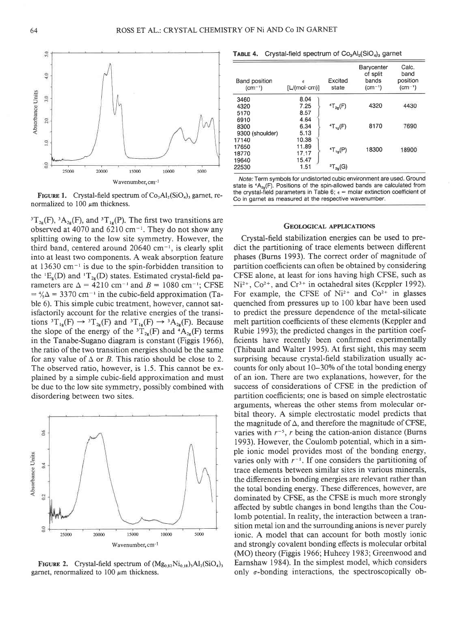FIGURE 1. Crystal-field spectrum of  $Co<sub>3</sub>Al<sub>2</sub>(SiO<sub>4</sub>)<sub>3</sub>$  garnet, renormalized to 100  $\mu$ m thickness.

20000

Wavenumber, cm-1

15000

10000

5000

<sup>3</sup>T<sub>2g</sub>(F), <sup>3</sup>A<sub>2g</sub>(F), and <sup>3</sup>T<sub>1g</sub>(P). The first two transitions are observed at 4070 and  $6210 \text{ cm}^{-1}$ . They do not show any splitting owing to the low site symmetry. However, the third band, centered around  $20640 \text{ cm}^{-1}$ , is clearly split into at least two components. A weak absorption feature at  $13630 \text{ cm}^{-1}$  is due to the spin-forbidden transition to the <sup>1</sup>E<sub>e</sub>(D) and <sup>1</sup>T<sub>2e</sub>(D) states. Estimated crystal-field parameters are  $\Delta = 4210$  cm<sup>-1</sup> and  $B = 1080$  cm<sup>-1</sup>; CFSE  $=$   $\frac{4}{\Delta}$  = 3370 cm<sup>-1</sup> in the cubic-field approximation (Table 6). This simple cubic treatment, however, cannot satisfactorily account for the relative energies of the transitions  ${}^{3}T_{1g}(F) \rightarrow {}^{3}T_{2g}(F)$  and  ${}^{3}T_{1g}(F) \rightarrow {}^{3}A_{2g}(F)$ . Because the slope of the energy of the  ${}^{3}T_{2e}(F)$  and  ${}^{4}A_{2e}(F)$  terms in the Tanabe-Sugano diagram is constant (Figgis 1966), the ratio of the two transition eneryies should be the same for any value of  $\Delta$  or B. This ratio should be close to 2. The observed ratio, however, is 1.5. This cannot be explained by a simple cubic-field approximation and must be due to the low site symmetry, possibly combined with disordering between two sites.



FIGURE 2. Crystal-field spectrum of  $(Mg_{0.82}Ni_{0.18})$ <sub>2</sub>Al<sub>2</sub>(SiO<sub>4</sub>)<sub>3</sub> garnet, renormalized to 100  $\mu$ m thickness.

|  |  |  | <b>TABLE 4.</b> Crystal-field spectrum of $Co3Al2(SiO4)3$ garnet |  |
|--|--|--|------------------------------------------------------------------|--|
|--|--|--|------------------------------------------------------------------|--|

| Band position<br>$(cm-1)$ | É<br>[L/(mol·cm)] | Excited<br>state  | Barycenter<br>of split<br>bands<br>$(cm-1)$ | Calc.<br>band<br>position<br>$(cm^{-1})$ |
|---------------------------|-------------------|-------------------|---------------------------------------------|------------------------------------------|
| 3460                      | 8.04              |                   |                                             |                                          |
| 4320                      | 7.25              | ${}^{4}T_{2g}(F)$ | 4320                                        | 4430                                     |
| 5170                      | 8.57              |                   |                                             |                                          |
| 6910                      | 4.64              |                   |                                             |                                          |
| 8300                      | 6.34              | $T_{1q}(F)$       | 8170                                        | 7690                                     |
| 9300 (shoulder)           | 5.13              |                   |                                             |                                          |
| 17140                     | 10.38             |                   |                                             |                                          |
| 17650                     | 11.89             |                   | 18300                                       | 18900                                    |
| 18770                     | 17.17             | $T_{10}(P)$       |                                             |                                          |
| 19640                     | 15.47             |                   |                                             |                                          |
| 22530                     | 1.51              | ${}^{2}T_{29}(G)$ |                                             |                                          |

Note: Term symbols for undistorted cubic environment are used. Ground state is  ${}^4A_{29}(F)$ . Positions of the spin-allowed bands are calculated from the crystal-field parameters in Table 6;  $\epsilon$  = molar extinction coefficient of Co in garnet as measured at the respective wavenumber.

#### GEOLOGICAL APPLICATIONS

Crystal-field stabilization energies can be used to predict the partitioning of trace elements between different phases (Burns 1993). The correct order of magnitude of partition coefficients can often be obtained by considering CFSE alone, at least for ions having high CFSE, such as  $Ni<sup>2+</sup>$ ,  $Co<sup>2+</sup>$ , and  $Cr<sup>3+</sup>$  in octahedral sites (Keppler 1992). For example, the CFSE of  $Ni^{2+}$  and  $Co^{2+}$  in glasses quenched from pressures up to 100 kbar have been used to predict the pressure dependence of the metal-silicate melt partition coefficients of these elements (Keppler and Rubie 1993); the predicted changes in the partition coefficients have recently been confirmed experimentally (Thibault and Walter 1995). At first sight, this may seem surprising because crystal-field stabilization usually accounts for only about  $10-30\%$  of the total bonding energy of an ion. There are two explanations, however, for the success of considerations of CFSE in the prediction of partition coefficients; one is based on simple electrostatic arguments, whereas the other stems from molecular orbital theory. A simple electrostatic model predicts that the magnitude of  $\Delta$ , and therefore the magnitude of CFSE, varies with  $r^{-5}$ , r being the cation-anion distance (Burns 1993). However, the Coulomb potential, which in a simple ionic model provides most of the bonding energy, varies only with  $r^{-1}$ . If one considers the partitioning of trace elements between similar sites in various minerals, the differences in bonding energies are relevant rather than the total bonding energy. These differences, however, are dominated by CFSE, as the CFSE is much more strongly affected by subtle changes in bond lengths than the Coulomb potential. In reality, the interaction between a transition metal ion and the surrounding anions is never purely ionic. A model that can account for both mostly ionic and strongly covalent bonding effects is molecular orbital (MO) theory (Figgis 1966; Huheey 1983; Greenwood and Earnshaw 1984). In the simplest model, which considers only o-bonding interactions, the spectroscopically ob-

Absorbance Units

5.0

 $\frac{6}{4}$ 

 $\frac{3}{2}$ 

 $2.0$ 

 $\overline{10}$ 

0.0

25000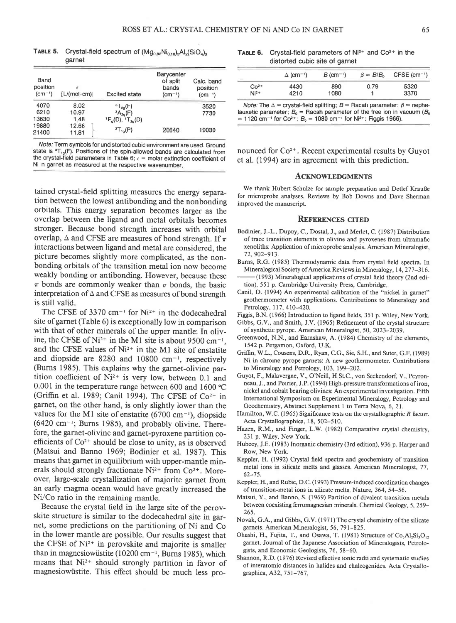TABLE 5. Crystal-field spectrum of  $(Mg_{0.82}Ni_{0.18})_3Al_2(SiO_4)_3$ aarnet

| Band<br>position<br>$(cm^{-1})$ | [L/(mol·cm)] | <b>Excited state</b>        | Barycenter<br>of split<br>bands<br>$(cm^{-1})$ | Calc, band<br>position<br>$(cm^{-1})$ |
|---------------------------------|--------------|-----------------------------|------------------------------------------------|---------------------------------------|
| 4070                            | 8.02         | ${}^{3}T_{20}(F)$           |                                                | 3520                                  |
| 6210                            | 10.97        | ${}^{3}A_{2n}(F)$           |                                                | 7730                                  |
| 13630                           | 1.48         | $E_o(D), \ {}^{1}T_{20}(D)$ |                                                |                                       |
| 19880                           | 12.66        |                             |                                                |                                       |
| 21400                           | 11.81        | ${}^{3}T_{10}(P)$           | 20640                                          | 19030                                 |

Note: Term symbols for undistorted cubic environment are used. Ground state is  ${}^{3}T_{19}(F)$ . Positions of the spin-allowed bands are calculated from the crystal-field parameters in Table 6;  $\epsilon$  = molar extinction coefficient of Ni in garnet as measured at the respective wavenumber

tained crystal-field splitting measures the energy separation between the lowest antibonding and the nonbonding orbitals. This energy separation becomes larger as the overlap between the ligand and metal orbitals becornes stronger. Because bond strength increases with orbital overlap,  $\Delta$  and CFSE are measures of bond strength. If  $\pi$ interactions between ligand and metal are considered, the picture becomes slightly more complicated, as the nonbonding orbitals of the transition metal ion now become weakly bonding or antibonding. However, because these  $\pi$  bonds are commonly weaker than  $\sigma$  bonds, the basic interpretation of  $\Delta$  and CFSE as measures of bond strength is still valid.

The CFSE of 3370 cm<sup>-1</sup> for  $Ni^{2+}$  in the dodecahedral site of garnet (Table 6) is exceptionally low in comparison with that of other minerals of the upper mantle: In olivine, the CFSE of  $Ni^{2+}$  in the M1 site is about 9500 cm<sup>-1</sup>, and the CFSE values of  $Ni^{2+}$  in the M1 site of enstatite and diopside are 8280 and 10800  $cm^{-1}$ , respectively (Burns 1985). This explains why the garnet-olivine partition coefficient of  $Ni^{2+}$  is very low, between 0.1 and 0.001 in the temperature range between 600 and 1600 °C (Griffin et al. 1989; Canil 1994). The CFSE of  $Co^{2+}$  in garnet, on the other hand, is only slightly lower than the values for the M1 site of enstatite (6700 cm<sup>-1</sup>), diopside  $(6420 \text{ cm}^{-1})$ ; Burns 1985), and probably olivine. Therefore, the garnet-olivine and garnet-pyroxene partition coefficients of  $Co<sup>2+</sup>$  should be close to unity, as is observed (Matsui and Banno 1969; Bodinier et al. 1987). This means that garnet in equilibrium with upper-mantle minerals should strongly fractionate  $Ni^{2+}$  from  $Co^{2+}$ . Moreover, large-scale crystallization of majorite garnet from an early magma ocean would have greatly increased the Ni/Co ratio in the remaining mantle.

Because the crystal field in the large site of the perovskite structure is similar to the dodecahedral site in garnet, some predictions on the partitioning of Ni and Co in the lower mantle are possible. Our results suggest that the CFSE of Ni<sup>2+</sup> in perovskite and majorite is smaller than in magnesiowüstite (10200 cm $^{-1}$ , Burns 1985), which means that Ni<sup>2+</sup> should strongly partition in favor of magnesiowiistite. This effect should be much less pro-

**TABLE 6.** Crystal-field parameters of  $Ni<sup>2+</sup>$  and  $Co<sup>2+</sup>$  in the distorted cubic site of garnet

|        | $\Delta$ (cm <sup>-1</sup> ) | $B$ (cm <sup>-1</sup> ) | $\beta = B/B_0$ | CFSE $(cm-1)$ |
|--------|------------------------------|-------------------------|-----------------|---------------|
| $C02+$ | 4430                         | 890                     | 0.79            | 5320          |
| $Ni2+$ | 4210                         | 1080                    |                 | 3370          |

*Note:* The  $\Delta$  = crystal-field splitting;  $B =$  Racah parameter;  $\beta$  = nephelauxetic parameter;  $B_0$  = Racah parameter of the free ion in vacuum ( $B_0$ )  $= 1120$  cm<sup>-1</sup> for Co<sup>2+</sup>;  $B<sub>0</sub> = 1080$  cm<sup>-1</sup> for Ni<sup>2+</sup>; Figgis 1966).

nounced for  $Co<sup>2+</sup>$ . Recent experimental results by Guyot et al. (1994) are in agreement with this prediction.

#### ACKNOWLEDGMENTS

We thank Hubert Schulze for sample preparation and Detlef KrauBe for microprobe analyses. Reviews by Bob Downs and Dave Sherman improved the manuscript.

## **REFERENCES CITED**

- Bodinier, J.-L., Dupuy, C., Dostal, J., and Merlet, C. (1987) Distribution of trace transition elements in olivine and pyroxenes from ultramafic xenoliths: Application of microprobe analysis. American Mineralogist, 72,902-913.
- Burns, R.G. (1985) Thermodynamic data from crystal field spectra. In Mineralogical Society of America Reviews in Mineralogy, 14, 277-316. - (1 993) Mineralogical applications of crystal field theory (2nd edi-
- tion), 551 p. Cambridge University Press, Cambridge
- Canil, D. (1994) An experimental calibration of the "nickel in garner" geothermometer with applications. Contributions to Mineralogy and Petrology, 117, 410-420.

Figgis, B.N. (1966) Introduction to ligand fields, 351 p. Wiley, New York.

Gibbs, G.V., and Smith, J.V. (1965) Refinement of the crystal structure of synthetic pyrope. American Mineralogist, 50, 2023-2039.

- Greenwood, N.N., and Earnshaw, A. (1984) Chemistry of the elements, 1542 p. Pergamon, Oxford, U.K.
- Griffin, W.L., Cousens, D.R., Ryan, C.G., Sie, S.H., and Suter, G.F. (1989) Ni in chrome pyrope garnets: A new geothermometer. Contributions to Mineralogy and Petrology, 103,199-202.
- Guyot, F., Malavergne, V., O'Neill, H St.C., von Seckendorf, V., Peyronneau, J., and Poirier, J.P. (1994) High-pressure transformations of iron, nickel and cobalt bearing olivines: An experimental investigation. Fifth International Symposium on Experimental Mineralogy, Petrology and Geochemistry, Abstract Supplement I to Terra Nova, 6, 21.
- Hamilton, W.C. (1965) Significance tests on the crystallographic R factor. Acta Crystallographica, 18, 502-510.
- Hazen, R.M., and Finger, L.W. (1982) Comparative crystal chemistry, 231 p. Wiley, New York.
- Huheey, J.E. (1983) Inorganic chemistry (3rd edition), 936 p. Harper and Row, New York.
- Keppler, H. (1992) Crystal field spectra and geochemistry of transition metal ions in silicate melts and glasses. American Mineralogist, 77,  $62 - 75.$
- Keppler, H., and Rubie, D.C. (l 993) Pressure-induced coordination changes of transition-metal ions in silicate melts. Nature, 364, 54-56.
- Matsui, Y., and Banno, S. (1969) Partition of divalent transition metals between coexisting ferromagnesian minerals. Chemical Geology, 5, 259- 265.
- Novak, G.A., and Gibbs, G.V. (1971) The crystal chemistry of the silicate garnets. American Mineralogist, 56, 79 l-825.
- Ohashi, H., Fujita, T., and Osawa, T. (1981) Structure of  $Co<sub>3</sub>Al<sub>2</sub>Si<sub>3</sub>O<sub>12</sub>$ garnet. Journal of the Japanese Association of Mineralogists, Petrologists, and Economic Geologists, 76, 58-60.
- Shannon, R.D. (1976) Revised effective ionic radii and systematic studies of interatomic distances in halides and chalcogenides. Acta Crystallographica, A32,751-767